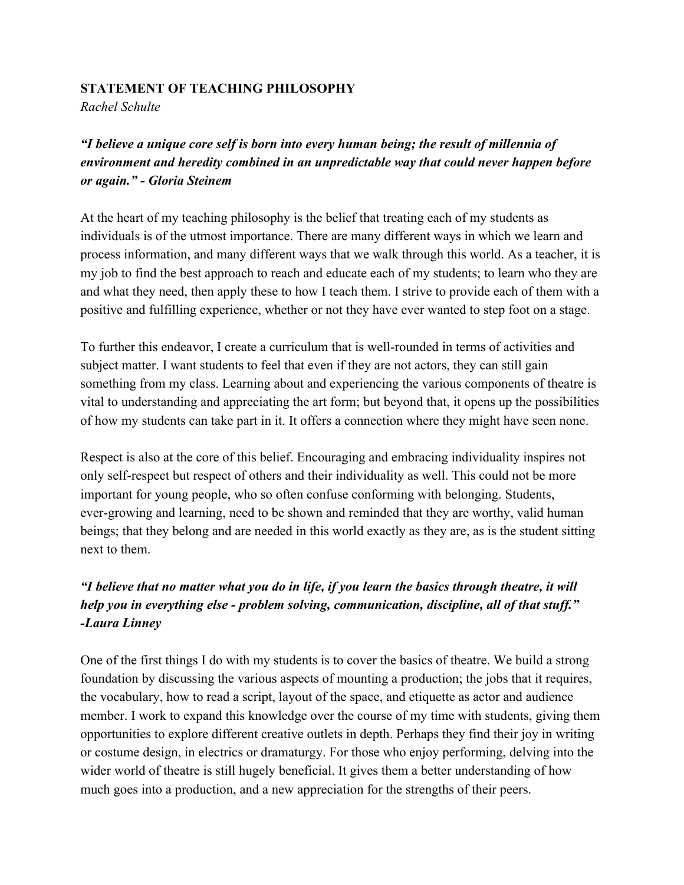## **STATEMENT OF TEACHING PHILOSOPHY**

*Rachel Schulte*

*"I believe a unique core self is born into every human being; the result of millennia of environment and heredity combined in an unpredictable way that could never happen before or again." - Gloria Steinem*

At the heart of my teaching philosophy is the belief that treating each of my students as individuals is of the utmost importance. There are many different ways in which we learn and process information, and many different ways that we walk through this world. As a teacher, it is my job to find the best approach to reach and educate each of my students; to learn who they are and what they need, then apply these to how I teach them. I strive to provide each of them with a positive and fulfilling experience, whether or not they have ever wanted to step foot on a stage.

To further this endeavor, I create a curriculum that is well-rounded in terms of activities and subject matter. I want students to feel that even if they are not actors, they can still gain something from my class. Learning about and experiencing the various components of theatre is vital to understanding and appreciating the art form; but beyond that, it opens up the possibilities of how my students can take part in it. It offers a connection where they might have seen none.

Respect is also at the core of this belief. Encouraging and embracing individuality inspires not only self-respect but respect of others and their individuality as well. This could not be more important for young people, who so often confuse conforming with belonging. Students, ever-growing and learning, need to be shown and reminded that they are worthy, valid human beings; that they belong and are needed in this world exactly as they are, as is the student sitting next to them.

## *"I believe that no matter what you do in life, if you learn the basics through theatre, it will help you in everything else - problem solving, communication, discipline, all of that stuff." -Laura Linney*

One of the first things I do with my students is to cover the basics of theatre. We build a strong foundation by discussing the various aspects of mounting a production; the jobs that it requires, the vocabulary, how to read a script, layout of the space, and etiquette as actor and audience member. I work to expand this knowledge over the course of my time with students, giving them opportunities to explore different creative outlets in depth. Perhaps they find their joy in writing or costume design, in electrics or dramaturgy. For those who enjoy performing, delving into the wider world of theatre is still hugely beneficial. It gives them a better understanding of how much goes into a production, and a new appreciation for the strengths of their peers.